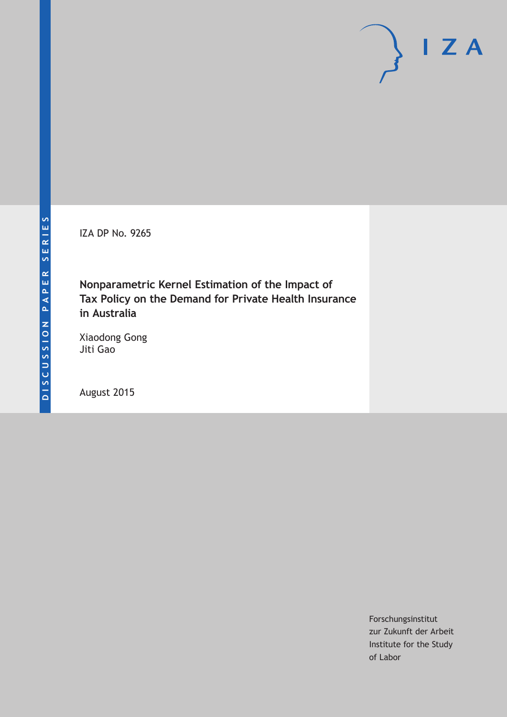IZA DP No. 9265

**Nonparametric Kernel Estimation of the Impact of Tax Policy on the Demand for Private Health Insurance in Australia**

Xiaodong Gong Jiti Gao

August 2015

Forschungsinstitut zur Zukunft der Arbeit Institute for the Study of Labor

 $I Z A$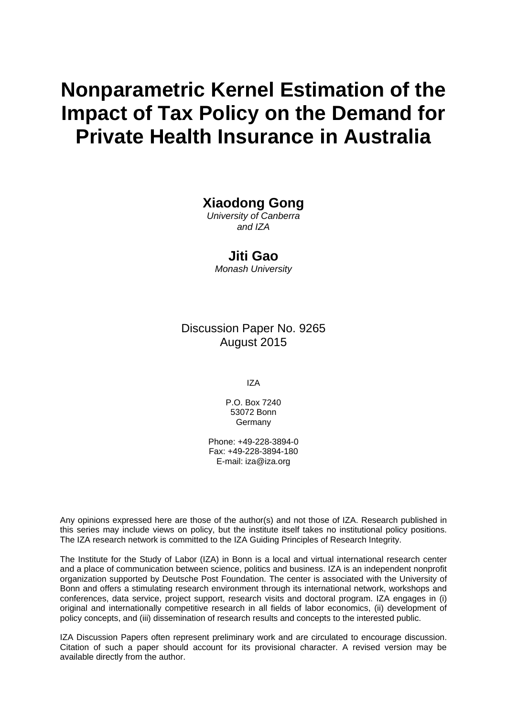# **Nonparametric Kernel Estimation of the Impact of Tax Policy on the Demand for Private Health Insurance in Australia**

### **Xiaodong Gong**

*University of Canberra and IZA* 

#### **Jiti Gao**

*Monash University* 

Discussion Paper No. 9265 August 2015

IZA

P.O. Box 7240 53072 Bonn Germany

Phone: +49-228-3894-0 Fax: +49-228-3894-180 E-mail: iza@iza.org

Any opinions expressed here are those of the author(s) and not those of IZA. Research published in this series may include views on policy, but the institute itself takes no institutional policy positions. The IZA research network is committed to the IZA Guiding Principles of Research Integrity.

The Institute for the Study of Labor (IZA) in Bonn is a local and virtual international research center and a place of communication between science, politics and business. IZA is an independent nonprofit organization supported by Deutsche Post Foundation. The center is associated with the University of Bonn and offers a stimulating research environment through its international network, workshops and conferences, data service, project support, research visits and doctoral program. IZA engages in (i) original and internationally competitive research in all fields of labor economics, (ii) development of policy concepts, and (iii) dissemination of research results and concepts to the interested public.

IZA Discussion Papers often represent preliminary work and are circulated to encourage discussion. Citation of such a paper should account for its provisional character. A revised version may be available directly from the author.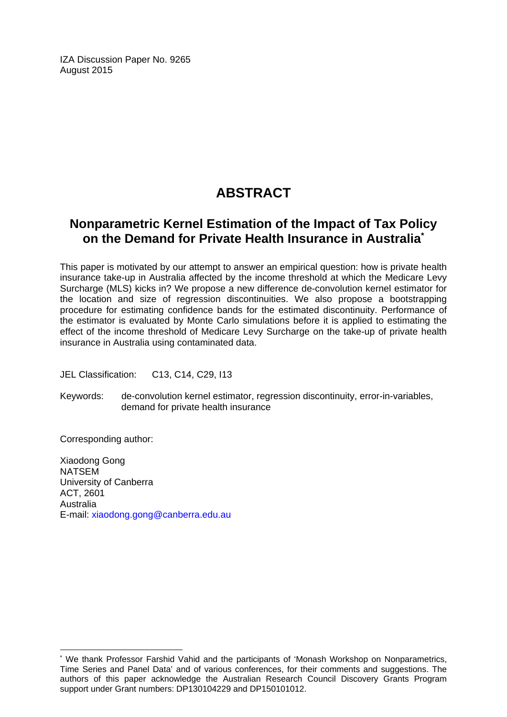IZA Discussion Paper No. 9265 August 2015

# **ABSTRACT**

### **Nonparametric Kernel Estimation of the Impact of Tax Policy on the Demand for Private Health Insurance in Australia\***

This paper is motivated by our attempt to answer an empirical question: how is private health insurance take-up in Australia affected by the income threshold at which the Medicare Levy Surcharge (MLS) kicks in? We propose a new difference de-convolution kernel estimator for the location and size of regression discontinuities. We also propose a bootstrapping procedure for estimating confidence bands for the estimated discontinuity. Performance of the estimator is evaluated by Monte Carlo simulations before it is applied to estimating the effect of the income threshold of Medicare Levy Surcharge on the take-up of private health insurance in Australia using contaminated data.

JEL Classification: C13, C14, C29, I13

Keywords: de-convolution kernel estimator, regression discontinuity, error-in-variables, demand for private health insurance

Corresponding author:

 $\overline{\phantom{a}}$ 

Xiaodong Gong NATSEM University of Canberra ACT, 2601 Australia E-mail: xiaodong.gong@canberra.edu.au

<sup>\*</sup> We thank Professor Farshid Vahid and the participants of 'Monash Workshop on Nonparametrics, Time Series and Panel Data' and of various conferences, for their comments and suggestions. The authors of this paper acknowledge the Australian Research Council Discovery Grants Program support under Grant numbers: DP130104229 and DP150101012.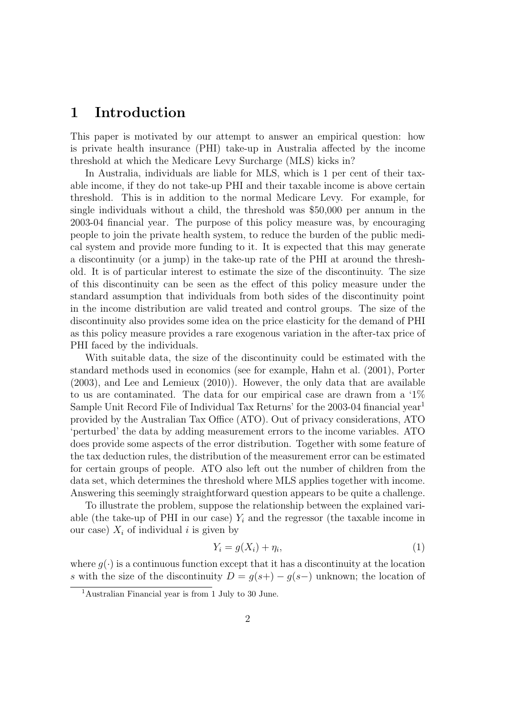### **1 Introduction**

This paper is motivated by our attempt to answer an empirical question: how is private health insurance (PHI) take-up in Australia affected by the income threshold at which the Medicare Levy Surcharge (MLS) kicks in?

In Australia, individuals are liable for MLS, which is 1 per cent of their taxable income, if they do not take-up PHI and their taxable income is above certain threshold. This is in addition to the normal Medicare Levy. For example, for single individuals without a child, the threshold was \$50,000 per annum in the 2003-04 financial year. The purpose of this policy measure was, by encouraging people to join the private health system, to reduce the burden of the public medical system and provide more funding to it. It is expected that this may generate a discontinuity (or a jump) in the take-up rate of the PHI at around the threshold. It is of particular interest to estimate the size of the discontinuity. The size of this discontinuity can be seen as the effect of this policy measure under the standard assumption that individuals from both sides of the discontinuity point in the income distribution are valid treated and control groups. The size of the discontinuity also provides some idea on the price elasticity for the demand of PHI as this policy measure provides a rare exogenous variation in the after-tax price of PHI faced by the individuals.

With suitable data, the size of the discontinuity could be estimated with the standard methods used in economics (see for example, Hahn et al. (2001), Porter (2003), and Lee and Lemieux (2010)). However, the only data that are available to us are contaminated. The data for our empirical case are drawn from a '1% Sample Unit Record File of Individual Tax Returns' for the 2003-04 financial year<sup>1</sup> provided by the Australian Tax Office (ATO). Out of privacy considerations, ATO 'perturbed' the data by adding measurement errors to the income variables. ATO does provide some aspects of the error distribution. Together with some feature of the tax deduction rules, the distribution of the measurement error can be estimated for certain groups of people. ATO also left out the number of children from the data set, which determines the threshold where MLS applies together with income. Answering this seemingly straightforward question appears to be quite a challenge.

To illustrate the problem, suppose the relationship between the explained variable (the take-up of PHI in our case)  $Y_i$  and the regressor (the taxable income in our case)  $X_i$  of individual  $i$  is given by

$$
Y_i = g(X_i) + \eta_i,\tag{1}
$$

where  $q(\cdot)$  is a continuous function except that it has a discontinuity at the location *s* with the size of the discontinuity  $D = g(s+) - g(s-)$  unknown; the location of

<sup>1</sup>Australian Financial year is from 1 July to 30 June.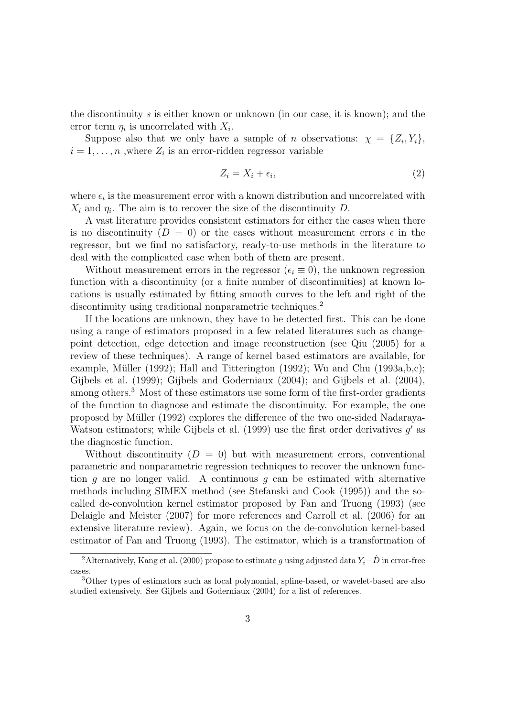the discontinuity *s* is either known or unknown (in our case, it is known); and the error term  $\eta_i$  is uncorrelated with  $X_i$ .

Suppose also that we only have a sample of *n* observations:  $\chi = \{Z_i, Y_i\}$ ,  $i = 1, \ldots, n$ , where  $Z_i$  is an error-ridden regressor variable

$$
Z_i = X_i + \epsilon_i,\tag{2}
$$

where  $\epsilon_i$  is the measurement error with a known distribution and uncorrelated with  $X_i$  and  $\eta_i$ . The aim is to recover the size of the discontinuity *D*.

A vast literature provides consistent estimators for either the cases when there is no discontinuity  $(D = 0)$  or the cases without measurement errors  $\epsilon$  in the regressor, but we find no satisfactory, ready-to-use methods in the literature to deal with the complicated case when both of them are present.

Without measurement errors in the regressor ( $\epsilon_i \equiv 0$ ), the unknown regression function with a discontinuity (or a finite number of discontinuities) at known locations is usually estimated by fitting smooth curves to the left and right of the discontinuity using traditional nonparametric techniques.<sup>2</sup>

If the locations are unknown, they have to be detected first. This can be done using a range of estimators proposed in a few related literatures such as changepoint detection, edge detection and image reconstruction (see Qiu (2005) for a review of these techniques). A range of kernel based estimators are available, for example, Müller (1992); Hall and Titterington (1992); Wu and Chu (1993a,b,c); Gijbels et al. (1999); Gijbels and Goderniaux (2004); and Gijbels et al. (2004), among others.<sup>3</sup> Most of these estimators use some form of the first-order gradients of the function to diagnose and estimate the discontinuity. For example, the one proposed by M¨uller (1992) explores the difference of the two one-sided Nadaraya-Watson estimators; while Gijbels et al. (1999) use the first order derivatives *g ′* as the diagnostic function.

Without discontinuity  $(D = 0)$  but with measurement errors, conventional parametric and nonparametric regression techniques to recover the unknown function *g* are no longer valid. A continuous *g* can be estimated with alternative methods including SIMEX method (see Stefanski and Cook (1995)) and the socalled de-convolution kernel estimator proposed by Fan and Truong (1993) (see Delaigle and Meister (2007) for more references and Carroll et al. (2006) for an extensive literature review). Again, we focus on the de-convolution kernel-based estimator of Fan and Truong (1993). The estimator, which is a transformation of

<sup>&</sup>lt;sup>2</sup>Alternatively, Kang et al. (2000) propose to estimate *g* using adjusted data  $Y_i - \hat{D}$  in error-free cases.

<sup>3</sup>Other types of estimators such as local polynomial, spline-based, or wavelet-based are also studied extensively. See Gijbels and Goderniaux (2004) for a list of references.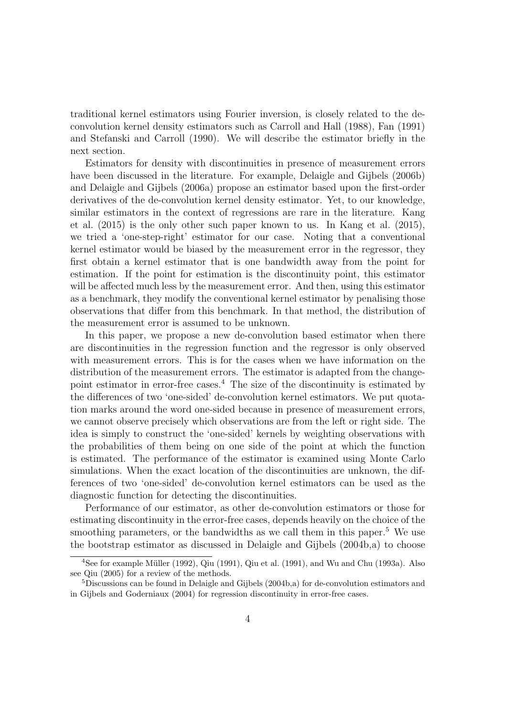traditional kernel estimators using Fourier inversion, is closely related to the deconvolution kernel density estimators such as Carroll and Hall (1988), Fan (1991) and Stefanski and Carroll (1990). We will describe the estimator briefly in the next section.

Estimators for density with discontinuities in presence of measurement errors have been discussed in the literature. For example, Delaigle and Gijbels (2006b) and Delaigle and Gijbels (2006a) propose an estimator based upon the first-order derivatives of the de-convolution kernel density estimator. Yet, to our knowledge, similar estimators in the context of regressions are rare in the literature. Kang et al. (2015) is the only other such paper known to us. In Kang et al. (2015), we tried a 'one-step-right' estimator for our case. Noting that a conventional kernel estimator would be biased by the measurement error in the regressor, they first obtain a kernel estimator that is one bandwidth away from the point for estimation. If the point for estimation is the discontinuity point, this estimator will be affected much less by the measurement error. And then, using this estimator as a benchmark, they modify the conventional kernel estimator by penalising those observations that differ from this benchmark. In that method, the distribution of the measurement error is assumed to be unknown.

In this paper, we propose a new de-convolution based estimator when there are discontinuities in the regression function and the regressor is only observed with measurement errors. This is for the cases when we have information on the distribution of the measurement errors. The estimator is adapted from the changepoint estimator in error-free cases.<sup>4</sup> The size of the discontinuity is estimated by the differences of two 'one-sided' de-convolution kernel estimators. We put quotation marks around the word one-sided because in presence of measurement errors, we cannot observe precisely which observations are from the left or right side. The idea is simply to construct the 'one-sided' kernels by weighting observations with the probabilities of them being on one side of the point at which the function is estimated. The performance of the estimator is examined using Monte Carlo simulations. When the exact location of the discontinuities are unknown, the differences of two 'one-sided' de-convolution kernel estimators can be used as the diagnostic function for detecting the discontinuities.

Performance of our estimator, as other de-convolution estimators or those for estimating discontinuity in the error-free cases, depends heavily on the choice of the smoothing parameters, or the bandwidths as we call them in this paper.<sup>5</sup> We use the bootstrap estimator as discussed in Delaigle and Gijbels (2004b,a) to choose

 $4$ See for example Müller (1992), Qiu (1991), Qiu et al. (1991), and Wu and Chu (1993a). Also see Qiu (2005) for a review of the methods.

<sup>5</sup>Discussions can be found in Delaigle and Gijbels (2004b,a) for de-convolution estimators and in Gijbels and Goderniaux (2004) for regression discontinuity in error-free cases.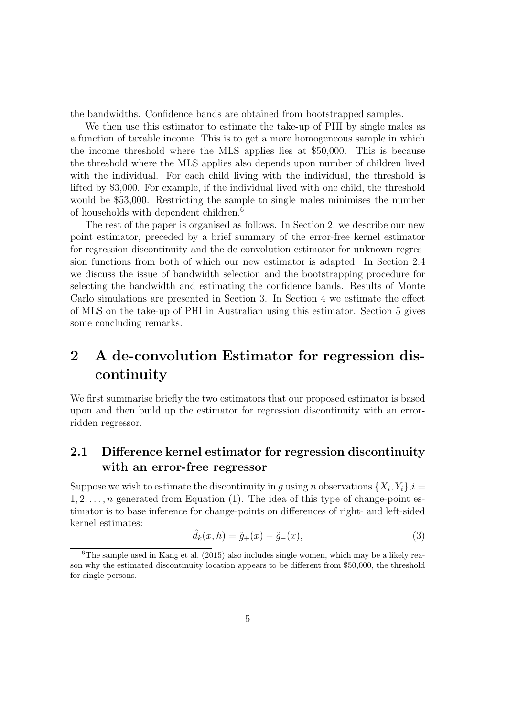the bandwidths. Confidence bands are obtained from bootstrapped samples.

We then use this estimator to estimate the take-up of PHI by single males as a function of taxable income. This is to get a more homogeneous sample in which the income threshold where the MLS applies lies at \$50,000. This is because the threshold where the MLS applies also depends upon number of children lived with the individual. For each child living with the individual, the threshold is lifted by \$3,000. For example, if the individual lived with one child, the threshold would be \$53,000. Restricting the sample to single males minimises the number of households with dependent children.<sup>6</sup>

The rest of the paper is organised as follows. In Section 2, we describe our new point estimator, preceded by a brief summary of the error-free kernel estimator for regression discontinuity and the de-convolution estimator for unknown regression functions from both of which our new estimator is adapted. In Section 2.4 we discuss the issue of bandwidth selection and the bootstrapping procedure for selecting the bandwidth and estimating the confidence bands. Results of Monte Carlo simulations are presented in Section 3. In Section 4 we estimate the effect of MLS on the take-up of PHI in Australian using this estimator. Section 5 gives some concluding remarks.

# **2 A de-convolution Estimator for regression discontinuity**

We first summarise briefly the two estimators that our proposed estimator is based upon and then build up the estimator for regression discontinuity with an errorridden regressor.

### **2.1 Difference kernel estimator for regression discontinuity with an error-free regressor**

Suppose we wish to estimate the discontinuity in *g* using *n* observations  $\{X_i, Y_i\}$ ,  $i =$  $1, 2, \ldots, n$  generated from Equation (1). The idea of this type of change-point estimator is to base inference for change-points on differences of right- and left-sided kernel estimates:

$$
\hat{d}_k(x, h) = \hat{g}_+(x) - \hat{g}_-(x),\tag{3}
$$

 $6$ The sample used in Kang et al. (2015) also includes single women, which may be a likely reason why the estimated discontinuity location appears to be different from \$50,000, the threshold for single persons.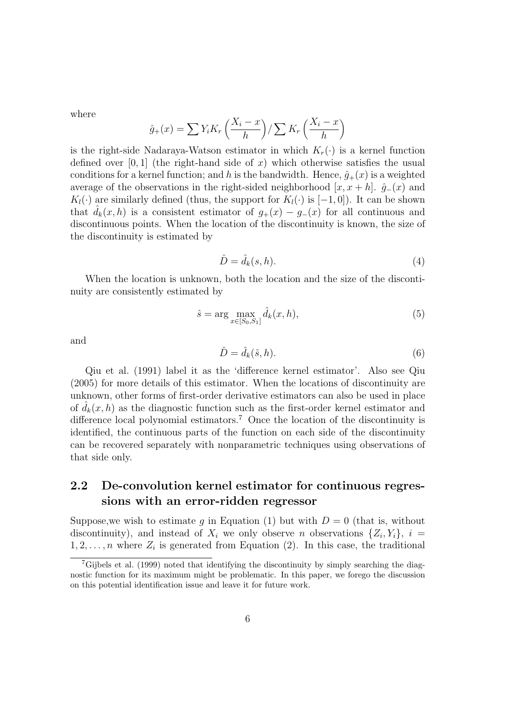where

$$
\hat{g}_{+}(x) = \sum Y_{i} K_{r} \left(\frac{X_{i} - x}{h}\right) / \sum K_{r} \left(\frac{X_{i} - x}{h}\right)
$$

is the right-side Nadaraya-Watson estimator in which  $K_r(\cdot)$  is a kernel function defined over  $[0, 1]$  (the right-hand side of x) which otherwise satisfies the usual conditions for a kernel function; and h is the bandwidth. Hence,  $\hat{g}_+(x)$  is a weighted average of the observations in the right-sided neighborhood  $[x, x + h]$ .  $\hat{q}_-(x)$  and  $K_l(\cdot)$  are similarly defined (thus, the support for  $K_l(\cdot)$  is [−1, 0]). It can be shown that  $\hat{d}_k(x, h)$  is a consistent estimator of  $g_+(x) - g_-(x)$  for all continuous and discontinuous points. When the location of the discontinuity is known, the size of the discontinuity is estimated by

$$
\hat{D} = \hat{d}_k(s, h). \tag{4}
$$

When the location is unknown, both the location and the size of the discontinuity are consistently estimated by

$$
\hat{s} = \arg\max_{x \in [S_0, S_1]} \hat{d}_k(x, h),\tag{5}
$$

and

$$
\hat{D} = \hat{d}_k(\hat{s}, h). \tag{6}
$$

Qiu et al. (1991) label it as the 'difference kernel estimator'. Also see Qiu (2005) for more details of this estimator. When the locations of discontinuity are unknown, other forms of first-order derivative estimators can also be used in place of  $\hat{d}_k(x, h)$  as the diagnostic function such as the first-order kernel estimator and difference local polynomial estimators.<sup>7</sup> Once the location of the discontinuity is identified, the continuous parts of the function on each side of the discontinuity can be recovered separately with nonparametric techniques using observations of that side only.

### **2.2 De-convolution kernel estimator for continuous regressions with an error-ridden regressor**

Suppose, we wish to estimate *g* in Equation (1) but with  $D = 0$  (that is, without discontinuity), and instead of  $X_i$  we only observe *n* observations  $\{Z_i, Y_i\}$ ,  $i =$  $1, 2, \ldots, n$  where  $Z_i$  is generated from Equation (2). In this case, the traditional

<sup>7</sup>Gijbels et al. (1999) noted that identifying the discontinuity by simply searching the diagnostic function for its maximum might be problematic. In this paper, we forego the discussion on this potential identification issue and leave it for future work.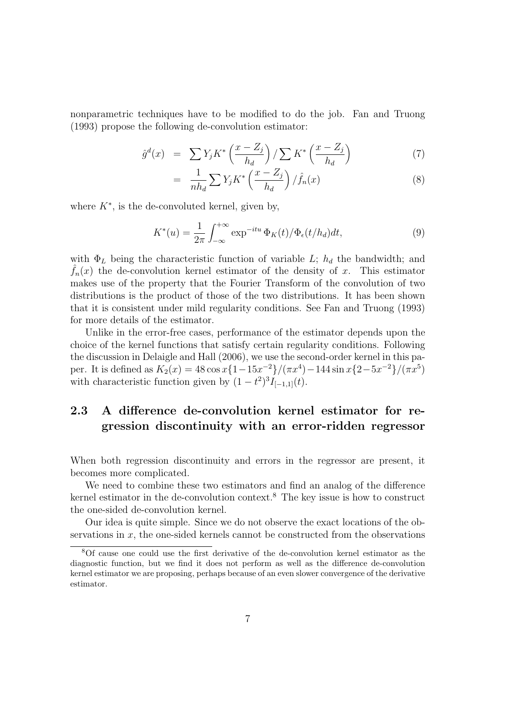nonparametric techniques have to be modified to do the job. Fan and Truong (1993) propose the following de-convolution estimator:

$$
\hat{g}^d(x) = \sum Y_j K^* \left(\frac{x - Z_j}{h_d}\right) / \sum K^* \left(\frac{x - Z_j}{h_d}\right) \tag{7}
$$

$$
= \frac{1}{nh_d} \sum Y_j K^* \left(\frac{x - Z_j}{h_d}\right) / \hat{f}_n(x) \tag{8}
$$

where  $K^*$ , is the de-convoluted kernel, given by,

$$
K^*(u) = \frac{1}{2\pi} \int_{-\infty}^{+\infty} \exp^{-itu} \Phi_K(t) / \Phi_\epsilon(t/h_d) dt,
$$
\n(9)

with  $\Phi_L$  being the characteristic function of variable *L*;  $h_d$  the bandwidth; and  $f_n(x)$  the de-convolution kernel estimator of the density of x. This estimator makes use of the property that the Fourier Transform of the convolution of two distributions is the product of those of the two distributions. It has been shown that it is consistent under mild regularity conditions. See Fan and Truong (1993) for more details of the estimator.

Unlike in the error-free cases, performance of the estimator depends upon the choice of the kernel functions that satisfy certain regularity conditions. Following the discussion in Delaigle and Hall (2006), we use the second-order kernel in this paper. It is defined as  $K_2(x) = 48 \cos x \{1 - 15x^{-2}\} / (\pi x^4) - 144 \sin x \{2 - 5x^{-2}\} / (\pi x^5)$ with characteristic function given by  $(1 - t^2)^3 I_{[-1,1]}(t)$ .

### **2.3 A difference de-convolution kernel estimator for regression discontinuity with an error-ridden regressor**

When both regression discontinuity and errors in the regressor are present, it becomes more complicated.

We need to combine these two estimators and find an analog of the difference kernel estimator in the de-convolution context. $8$  The key issue is how to construct the one-sided de-convolution kernel.

Our idea is quite simple. Since we do not observe the exact locations of the observations in *x*, the one-sided kernels cannot be constructed from the observations

<sup>8</sup>Of cause one could use the first derivative of the de-convolution kernel estimator as the diagnostic function, but we find it does not perform as well as the difference de-convolution kernel estimator we are proposing, perhaps because of an even slower convergence of the derivative estimator.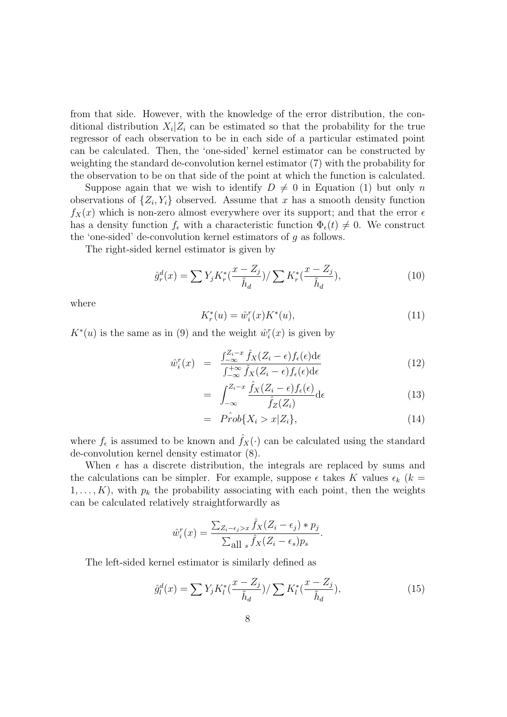from that side. However, with the knowledge of the error distribution, the conditional distribution  $X_i | Z_i$  can be estimated so that the probability for the true regressor of each observation to be in each side of a particular estimated point can be calculated. Then, the 'one-sided' kernel estimator can be constructed by weighting the standard de-convolution kernel estimator (7) with the probability for the observation to be on that side of the point at which the function is calculated.

Suppose again that we wish to identify  $D \neq 0$  in Equation (1) but only *n* observations of  $\{Z_i, Y_i\}$  observed. Assume that *x* has a smooth density function  $f_X(x)$  which is non-zero almost everywhere over its support; and that the error  $\epsilon$ has a density function  $f_{\epsilon}$  with a characteristic function  $\Phi_{\epsilon}(t) \neq 0$ . We construct the 'one-sided' de-convolution kernel estimators of *g* as follows.

The right-sided kernel estimator is given by

$$
\hat{g}_r^d(x) = \sum Y_j K_r^* \left(\frac{x - Z_j}{\tilde{h}_d}\right) / \sum K_r^* \left(\frac{x - Z_j}{\tilde{h}_d}\right),\tag{10}
$$

where

$$
K_r^*(u) = \hat{w}_i^r(x)K^*(u),\tag{11}
$$

 $K^*(u)$  is the same as in (9) and the weight  $\hat{w}_i^r(x)$  is given by

$$
\hat{w}_i^r(x) = \frac{\int_{-\infty}^{Z_i - x} \hat{f}_X(Z_i - \epsilon) f_{\epsilon}(\epsilon) d\epsilon}{\int_{-\infty}^{+\infty} \hat{f}_X(Z_i - \epsilon) f_{\epsilon}(\epsilon) d\epsilon}
$$
\n(12)

$$
= \int_{-\infty}^{Z_i - x} \frac{\hat{f}_X(Z_i - \epsilon) f_{\epsilon}(\epsilon)}{\hat{f}_Z(Z_i)} d\epsilon \tag{13}
$$

$$
= \quad \hat{Prob}\{X_i > x|Z_i\},\tag{14}
$$

where  $f_{\epsilon}$  is assumed to be known and  $\hat{f}_X(\cdot)$  can be calculated using the standard de-convolution kernel density estimator (8).

When  $\epsilon$  has a discrete distribution, the integrals are replaced by sums and the calculations can be simpler. For example, suppose  $\epsilon$  takes  $K$  values  $\epsilon_k$  ( $k =$  $1, \ldots, K$ , with  $p_k$  the probability associating with each point, then the weights can be calculated relatively straightforwardly as

$$
\hat{w}_i^r(x) = \frac{\sum_{Z_i - \epsilon_j > x} \hat{f}_X(Z_i - \epsilon_j) * p_j}{\sum_{\text{all } s} \hat{f}_X(Z_i - \epsilon_s) p_s}.
$$

The left-sided kernel estimator is similarly defined as

$$
\hat{g}_l^d(x) = \sum Y_j K_l^* \left(\frac{x - Z_j}{\tilde{h}_d}\right) / \sum K_l^* \left(\frac{x - Z_j}{\tilde{h}_d}\right),\tag{15}
$$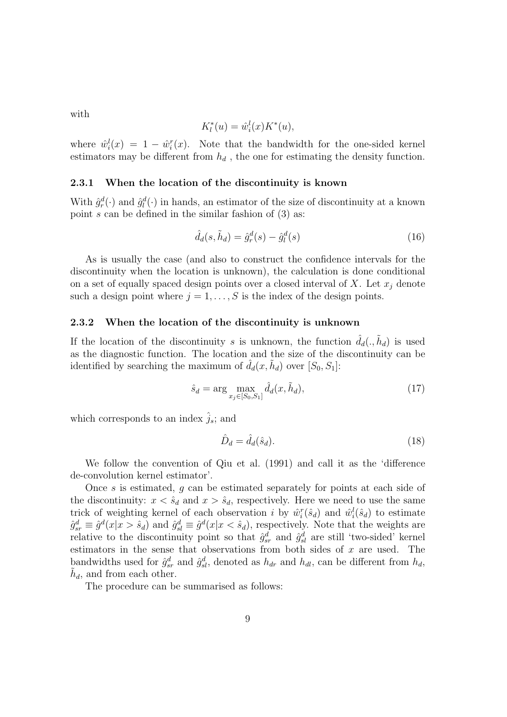with

$$
K_l^*(u) = \hat{w}_i^l(x)K^*(u),
$$

where  $\hat{w}_i^l(x) = 1 - \hat{w}_i^r(x)$ . Note that the bandwidth for the one-sided kernel estimators may be different from  $h_d$ , the one for estimating the density function.

#### **2.3.1 When the location of the discontinuity is known**

With  $\hat{g}_r^d(\cdot)$  and  $\hat{g}_l^d(\cdot)$  in hands, an estimator of the size of discontinuity at a known point *s* can be defined in the similar fashion of (3) as:

$$
\hat{d}_d(s, \tilde{h}_d) = \hat{g}_r^d(s) - \hat{g}_l^d(s) \tag{16}
$$

As is usually the case (and also to construct the confidence intervals for the discontinuity when the location is unknown), the calculation is done conditional on a set of equally spaced design points over a closed interval of X. Let  $x_j$  denote such a design point where  $j = 1, \ldots, S$  is the index of the design points.

#### **2.3.2 When the location of the discontinuity is unknown**

If the location of the discontinuity *s* is unknown, the function  $\hat{d}_d(.\, \tilde{h}_d)$  is used as the diagnostic function. The location and the size of the discontinuity can be identified by searching the maximum of  $\hat{d}_d(x, \tilde{h}_d)$  over  $[S_0, S_1]$ :

$$
\hat{s}_d = \arg\max_{x_j \in [S_0, S_1]} \hat{d}_d(x, \tilde{h}_d),\tag{17}
$$

which corresponds to an index  $\hat{j}_s$ ; and

$$
\hat{D}_d = \hat{d}_d(\hat{s}_d). \tag{18}
$$

We follow the convention of Qiu et al. (1991) and call it as the 'difference de-convolution kernel estimator'.

Once *s* is estimated, *g* can be estimated separately for points at each side of the discontinuity:  $x < \hat{s}_d$  and  $x > \hat{s}_d$ , respectively. Here we need to use the same trick of weighting kernel of each observation *i* by  $\hat{w}_i^r(\hat{s}_d)$  and  $\hat{w}_i^l(\hat{s}_d)$  to estimate  $\hat{g}_{sr}^d \equiv \hat{g}^d(x|x > \hat{s}_d)$  and  $\hat{g}_{sl}^d \equiv \hat{g}^d(x|x < \hat{s}_d)$ , respectively. Note that the weights are relative to the discontinuity point so that  $\hat{g}_{sr}^d$  and  $\hat{g}_{sl}^d$  are still 'two-sided' kernel estimators in the sense that observations from both sides of *x* are used. The bandwidths used for  $\hat{g}_{sr}^d$  and  $\hat{g}_{sl}^d$ , denoted as  $h_{dr}$  and  $h_{dl}$ , can be different from  $h_d$ ,  $\tilde{h}_d$ , and from each other.

The procedure can be summarised as follows: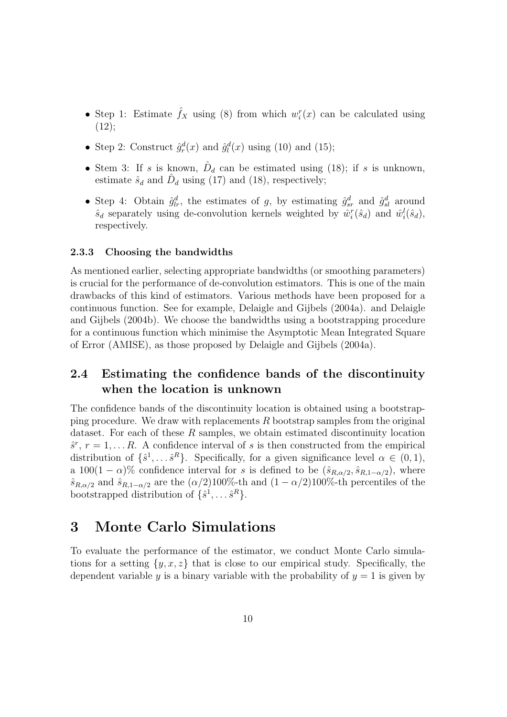- Step 1: Estimate  $\hat{f}_X$  using (8) from which  $w_i^r(x)$  can be calculated using  $(12)$ ;
- Step 2: Construct  $\hat{g}_r^d(x)$  and  $\hat{g}_l^d(x)$  using (10) and (15);
- Stem 3: If *s* is known,  $\hat{D}_d$  can be estimated using (18); if *s* is unknown, estimate  $\hat{s}_d$  and  $\hat{D}_d$  using (17) and (18), respectively;
- Step 4: Obtain  $\hat{g}_{ir}^d$ , the estimates of *g*, by estimating  $\hat{g}_{sr}^d$  and  $\hat{g}_{sl}^d$  around  $\hat{s}_d$  separately using de-convolution kernels weighted by  $\hat{w}_i^r(\hat{s}_d)$  and  $\hat{w}_i^l(\hat{s}_d)$ , respectively.

#### **2.3.3 Choosing the bandwidths**

As mentioned earlier, selecting appropriate bandwidths (or smoothing parameters) is crucial for the performance of de-convolution estimators. This is one of the main drawbacks of this kind of estimators. Various methods have been proposed for a continuous function. See for example, Delaigle and Gijbels (2004a). and Delaigle and Gijbels (2004b). We choose the bandwidths using a bootstrapping procedure for a continuous function which minimise the Asymptotic Mean Integrated Square of Error (AMISE), as those proposed by Delaigle and Gijbels (2004a).

#### **2.4 Estimating the confidence bands of the discontinuity when the location is unknown**

The confidence bands of the discontinuity location is obtained using a bootstrapping procedure. We draw with replacements *R* bootstrap samples from the original dataset. For each of these *R* samples, we obtain estimated discontinuity location  $\hat{s}^r$ ,  $r = 1, \ldots R$ . A confidence interval of *s* is then constructed from the empirical distribution of  $\{\hat{s}^1, \ldots, \hat{s}^R\}$ . Specifically, for a given significance level  $\alpha \in (0,1)$ , a 100(1 –  $\alpha$ )% confidence interval for *s* is defined to be  $(\hat{s}_{R,\alpha/2}, \hat{s}_{R,1-\alpha/2})$ , where  $\hat{s}_{R,\alpha/2}$  and  $\hat{s}_{R,1-\alpha/2}$  are the  $(\alpha/2)100\%$ -th and  $(1-\alpha/2)100\%$ -th percentiles of the bootstrapped distribution of  $\{\hat{s}^1, \ldots, \hat{s}^R\}$ .

### **3 Monte Carlo Simulations**

To evaluate the performance of the estimator, we conduct Monte Carlo simulations for a setting  $\{y, x, z\}$  that is close to our empirical study. Specifically, the dependent variable *y* is a binary variable with the probability of  $y = 1$  is given by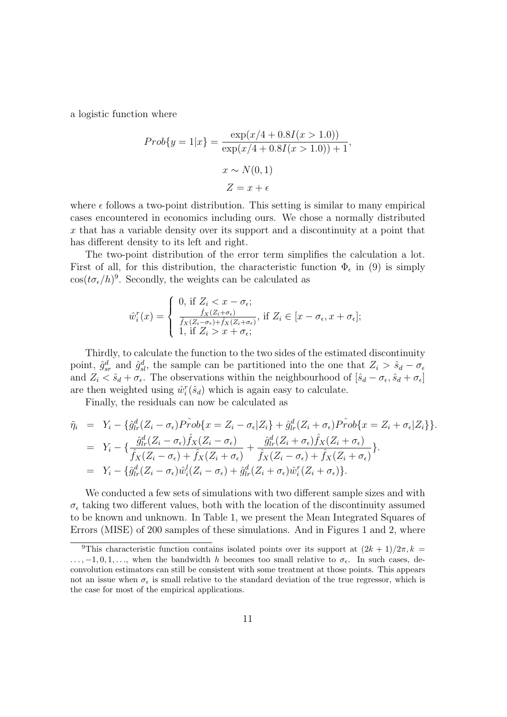a logistic function where

$$
Prob\{y = 1|x\} = \frac{\exp(x/4 + 0.8I(x > 1.0))}{\exp(x/4 + 0.8I(x > 1.0)) + 1},
$$

$$
x \sim N(0, 1)
$$

$$
Z = x + \epsilon
$$

where  $\epsilon$  follows a two-point distribution. This setting is similar to many empirical cases encountered in economics including ours. We chose a normally distributed *x* that has a variable density over its support and a discontinuity at a point that has different density to its left and right.

The two-point distribution of the error term simplifies the calculation a lot. First of all, for this distribution, the characteristic function  $\Phi_{\epsilon}$  in (9) is simply  $\cos(t\sigma_{\epsilon}/h)^{9}$ . Secondly, the weights can be calculated as

$$
\hat{w}_i^r(x) = \begin{cases} 0, \text{ if } Z_i < x - \sigma_{\epsilon};\\ \frac{\hat{f}_X(Z_i + \sigma_{\epsilon})}{\hat{f}_X(Z_i - \sigma_{\epsilon}) + \hat{f}_X(Z_i + \sigma_{\epsilon})}, \text{ if } Z_i \in [x - \sigma_{\epsilon}, x + \sigma_{\epsilon}];\\ 1, \text{ if } Z_i > x + \sigma_{\epsilon}; \end{cases}
$$

Thirdly, to calculate the function to the two sides of the estimated discontinuity point,  $\hat{g}_{sr}^d$  and  $\hat{g}_{sl}^d$ , the sample can be partitioned into the one that  $Z_i > \hat{s}_d - \sigma_{\epsilon}$ and  $Z_i < \hat{s}_d + \sigma_{\epsilon}$ . The observations within the neighbourhood of  $[\hat{s}_d - \sigma_{\epsilon}, \hat{s}_d + \sigma_{\epsilon}]$ are then weighted using  $\hat{w}_i^r(\hat{s}_d)$  which is again easy to calculate.

Finally, the residuals can now be calculated as

$$
\tilde{\eta}_i = Y_i - \{\hat{g}_{lr}^d(Z_i - \sigma_{\epsilon})\hat{Proj}(X_i = Z_i - \sigma_{\epsilon}|Z_i\} + \hat{g}_{lr}^d(Z_i + \sigma_{\epsilon})\hat{Proj}(X_i = Z_i + \sigma_{\epsilon}|Z_i\}.
$$
\n
$$
= Y_i - \{\frac{\hat{g}_{lr}^d(Z_i - \sigma_{\epsilon})\hat{f}_X(Z_i - \sigma_{\epsilon})}{\hat{f}_X(Z_i - \sigma_{\epsilon})} + \frac{\hat{g}_{lr}^d(Z_i + \sigma_{\epsilon})\hat{f}_X(Z_i + \sigma_{\epsilon})}{\hat{f}_X(Z_i - \sigma_{\epsilon})} + \hat{f}_X(Z_i - \sigma_{\epsilon}) + \hat{f}_X(Z_i + \sigma_{\epsilon})}.
$$
\n
$$
= Y_i - \{\hat{g}_{lr}^d(Z_i - \sigma_{\epsilon})\hat{w}_i^l(Z_i - \sigma_{\epsilon}) + \hat{g}_{lr}^d(Z_i + \sigma_{\epsilon})\hat{w}_i^r(Z_i + \sigma_{\epsilon})\}.
$$

We conducted a few sets of simulations with two different sample sizes and with  $\sigma_{\epsilon}$  taking two different values, both with the location of the discontinuity assumed to be known and unknown. In Table 1, we present the Mean Integrated Squares of Errors (MISE) of 200 samples of these simulations. And in Figures 1 and 2, where

<sup>&</sup>lt;sup>9</sup>This characteristic function contains isolated points over its support at  $(2k+1)/2\pi$ ,  $k=$  $\dots$ , −1, 0, 1,  $\dots$ , when the bandwidth *h* becomes too small relative to  $\sigma_{\epsilon}$ . In such cases, deconvolution estimators can still be consistent with some treatment at those points. This appears not an issue when  $\sigma_{\epsilon}$  is small relative to the standard deviation of the true regressor, which is the case for most of the empirical applications.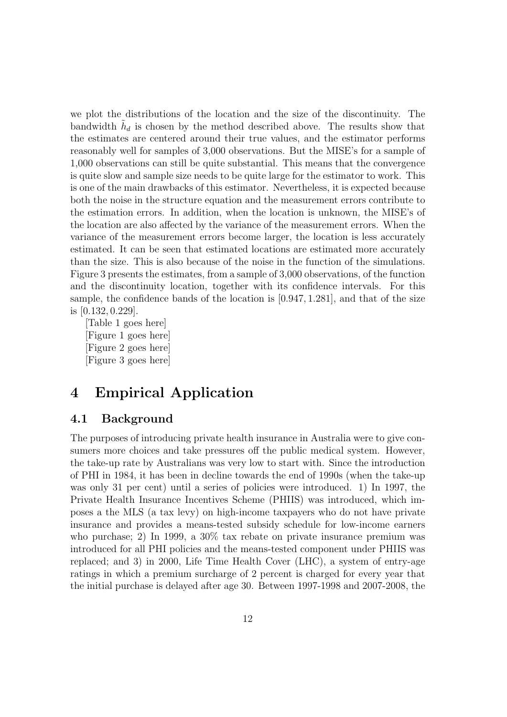we plot the distributions of the location and the size of the discontinuity. The bandwidth  $\tilde{h}_d$  is chosen by the method described above. The results show that the estimates are centered around their true values, and the estimator performs reasonably well for samples of 3,000 observations. But the MISE's for a sample of 1,000 observations can still be quite substantial. This means that the convergence is quite slow and sample size needs to be quite large for the estimator to work. This is one of the main drawbacks of this estimator. Nevertheless, it is expected because both the noise in the structure equation and the measurement errors contribute to the estimation errors. In addition, when the location is unknown, the MISE's of the location are also affected by the variance of the measurement errors. When the variance of the measurement errors become larger, the location is less accurately estimated. It can be seen that estimated locations are estimated more accurately than the size. This is also because of the noise in the function of the simulations. Figure 3 presents the estimates, from a sample of 3,000 observations, of the function and the discontinuity location, together with its confidence intervals. For this sample, the confidence bands of the location is [0*.*947*,* 1*.*281], and that of the size is [0*.*132*,* 0*.*229].

[Table 1 goes here] [Figure 1 goes here] [Figure 2 goes here] [Figure 3 goes here]

### **4 Empirical Application**

#### **4.1 Background**

The purposes of introducing private health insurance in Australia were to give consumers more choices and take pressures off the public medical system. However, the take-up rate by Australians was very low to start with. Since the introduction of PHI in 1984, it has been in decline towards the end of 1990s (when the take-up was only 31 per cent) until a series of policies were introduced. 1) In 1997, the Private Health Insurance Incentives Scheme (PHIIS) was introduced, which imposes a the MLS (a tax levy) on high-income taxpayers who do not have private insurance and provides a means-tested subsidy schedule for low-income earners who purchase; 2) In 1999, a 30% tax rebate on private insurance premium was introduced for all PHI policies and the means-tested component under PHIIS was replaced; and 3) in 2000, Life Time Health Cover (LHC), a system of entry-age ratings in which a premium surcharge of 2 percent is charged for every year that the initial purchase is delayed after age 30. Between 1997-1998 and 2007-2008, the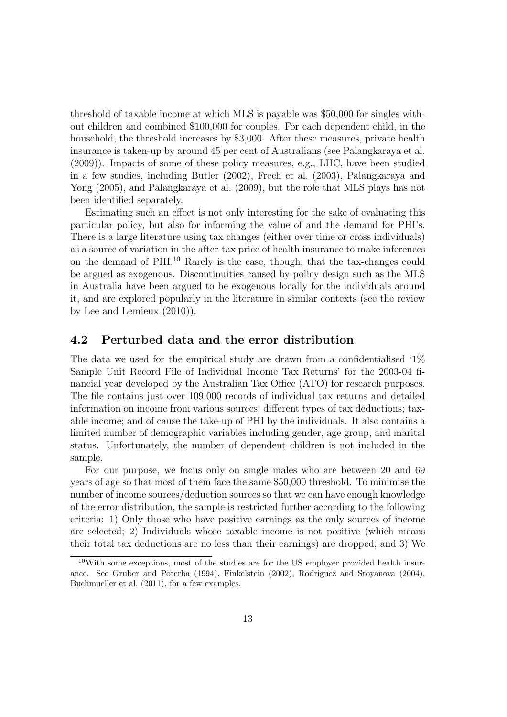threshold of taxable income at which MLS is payable was \$50,000 for singles without children and combined \$100,000 for couples. For each dependent child, in the household, the threshold increases by \$3,000. After these measures, private health insurance is taken-up by around 45 per cent of Australians (see Palangkaraya et al. (2009)). Impacts of some of these policy measures, e.g., LHC, have been studied in a few studies, including Butler (2002), Frech et al. (2003), Palangkaraya and Yong (2005), and Palangkaraya et al. (2009), but the role that MLS plays has not been identified separately.

Estimating such an effect is not only interesting for the sake of evaluating this particular policy, but also for informing the value of and the demand for PHI's. There is a large literature using tax changes (either over time or cross individuals) as a source of variation in the after-tax price of health insurance to make inferences on the demand of PHI.<sup>10</sup> Rarely is the case, though, that the tax-changes could be argued as exogenous. Discontinuities caused by policy design such as the MLS in Australia have been argued to be exogenous locally for the individuals around it, and are explored popularly in the literature in similar contexts (see the review by Lee and Lemieux (2010)).

#### **4.2 Perturbed data and the error distribution**

The data we used for the empirical study are drawn from a confidentialised '1% Sample Unit Record File of Individual Income Tax Returns' for the 2003-04 financial year developed by the Australian Tax Office (ATO) for research purposes. The file contains just over 109,000 records of individual tax returns and detailed information on income from various sources; different types of tax deductions; taxable income; and of cause the take-up of PHI by the individuals. It also contains a limited number of demographic variables including gender, age group, and marital status. Unfortunately, the number of dependent children is not included in the sample.

For our purpose, we focus only on single males who are between 20 and 69 years of age so that most of them face the same \$50,000 threshold. To minimise the number of income sources/deduction sources so that we can have enough knowledge of the error distribution, the sample is restricted further according to the following criteria: 1) Only those who have positive earnings as the only sources of income are selected; 2) Individuals whose taxable income is not positive (which means their total tax deductions are no less than their earnings) are dropped; and 3) We

<sup>&</sup>lt;sup>10</sup>With some exceptions, most of the studies are for the US employer provided health insurance. See Gruber and Poterba (1994), Finkelstein (2002), Rodriguez and Stoyanova (2004), Buchmueller et al. (2011), for a few examples.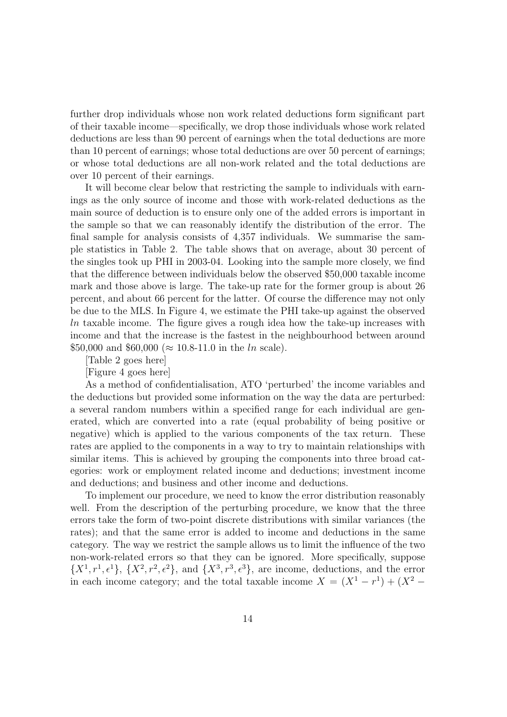further drop individuals whose non work related deductions form significant part of their taxable income—specifically, we drop those individuals whose work related deductions are less than 90 percent of earnings when the total deductions are more than 10 percent of earnings; whose total deductions are over 50 percent of earnings; or whose total deductions are all non-work related and the total deductions are over 10 percent of their earnings.

It will become clear below that restricting the sample to individuals with earnings as the only source of income and those with work-related deductions as the main source of deduction is to ensure only one of the added errors is important in the sample so that we can reasonably identify the distribution of the error. The final sample for analysis consists of 4,357 individuals. We summarise the sample statistics in Table 2. The table shows that on average, about 30 percent of the singles took up PHI in 2003-04. Looking into the sample more closely, we find that the difference between individuals below the observed \$50,000 taxable income mark and those above is large. The take-up rate for the former group is about 26 percent, and about 66 percent for the latter. Of course the difference may not only be due to the MLS. In Figure 4, we estimate the PHI take-up against the observed *ln* taxable income. The figure gives a rough idea how the take-up increases with income and that the increase is the fastest in the neighbourhood between around \$50,000 and \$60,000 (*≈* 10.8-11.0 in the *ln* scale).

[Table 2 goes here]

[Figure 4 goes here]

As a method of confidentialisation, ATO 'perturbed' the income variables and the deductions but provided some information on the way the data are perturbed: a several random numbers within a specified range for each individual are generated, which are converted into a rate (equal probability of being positive or negative) which is applied to the various components of the tax return. These rates are applied to the components in a way to try to maintain relationships with similar items. This is achieved by grouping the components into three broad categories: work or employment related income and deductions; investment income and deductions; and business and other income and deductions.

To implement our procedure, we need to know the error distribution reasonably well. From the description of the perturbing procedure, we know that the three errors take the form of two-point discrete distributions with similar variances (the rates); and that the same error is added to income and deductions in the same category. The way we restrict the sample allows us to limit the influence of the two non-work-related errors so that they can be ignored. More specifically, suppose  $\{X^1, r^1, \epsilon^1\}$ ,  $\{X^2, r^2, \epsilon^2\}$ , and  $\{X^3, r^3, \epsilon^3\}$ , are income, deductions, and the error in each income category; and the total taxable income  $X = (X^1 - r^1) + (X^2 - r^2)$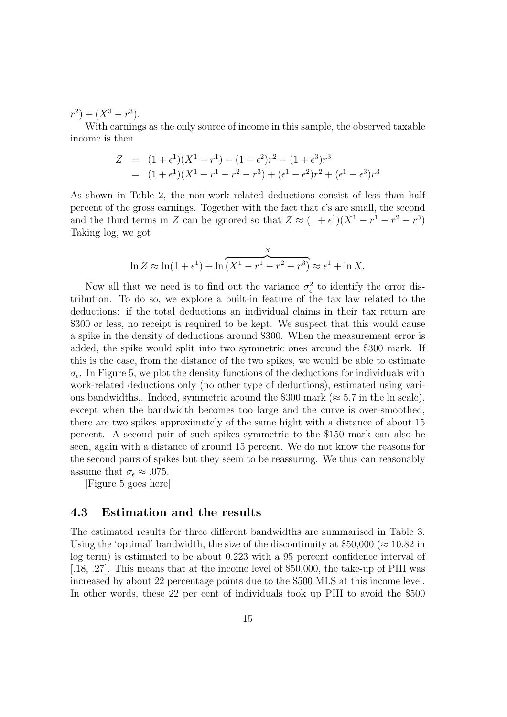$r^2$  + ( $X^3 - r^3$ ).

With earnings as the only source of income in this sample, the observed taxable income is then

$$
Z = (1 + \epsilon^{1})(X^{1} - r^{1}) - (1 + \epsilon^{2})r^{2} - (1 + \epsilon^{3})r^{3}
$$
  
=  $(1 + \epsilon^{1})(X^{1} - r^{1} - r^{2} - r^{3}) + (\epsilon^{1} - \epsilon^{2})r^{2} + (\epsilon^{1} - \epsilon^{3})r^{3}$ 

As shown in Table 2, the non-work related deductions consist of less than half percent of the gross earnings. Together with the fact that  $\epsilon$ 's are small, the second and the third terms in *Z* can be ignored so that  $Z \approx (1 + \epsilon^1)(X^1 - r^1 - r^2 - r^3)$ Taking log, we got

$$
\ln Z \approx \ln(1 + \epsilon^1) + \ln \underbrace{(X^1 - r^1 - r^2 - r^3)}_{(X^1 - T^2 - r^3)} \approx \epsilon^1 + \ln X.
$$

Now all that we need is to find out the variance  $\sigma_{\epsilon}^2$  to identify the error distribution. To do so, we explore a built-in feature of the tax law related to the deductions: if the total deductions an individual claims in their tax return are \$300 or less, no receipt is required to be kept. We suspect that this would cause a spike in the density of deductions around \$300. When the measurement error is added, the spike would split into two symmetric ones around the \$300 mark. If this is the case, from the distance of the two spikes, we would be able to estimate *σϵ* . In Figure 5, we plot the density functions of the deductions for individuals with work-related deductions only (no other type of deductions), estimated using various bandwidths,. Indeed, symmetric around the  $$300$  mark ( $\approx 5.7$  in the ln scale), except when the bandwidth becomes too large and the curve is over-smoothed, there are two spikes approximately of the same hight with a distance of about 15 percent. A second pair of such spikes symmetric to the \$150 mark can also be seen, again with a distance of around 15 percent. We do not know the reasons for the second pairs of spikes but they seem to be reassuring. We thus can reasonably assume that  $\sigma_{\epsilon} \approx .075$ .

[Figure 5 goes here]

#### **4.3 Estimation and the results**

The estimated results for three different bandwidths are summarised in Table 3. Using the 'optimal' bandwidth, the size of the discontinuity at  $$50,000 \approx 10.82$  in log term) is estimated to be about 0.223 with a 95 percent confidence interval of [.18, .27]. This means that at the income level of \$50,000, the take-up of PHI was increased by about 22 percentage points due to the \$500 MLS at this income level. In other words, these 22 per cent of individuals took up PHI to avoid the \$500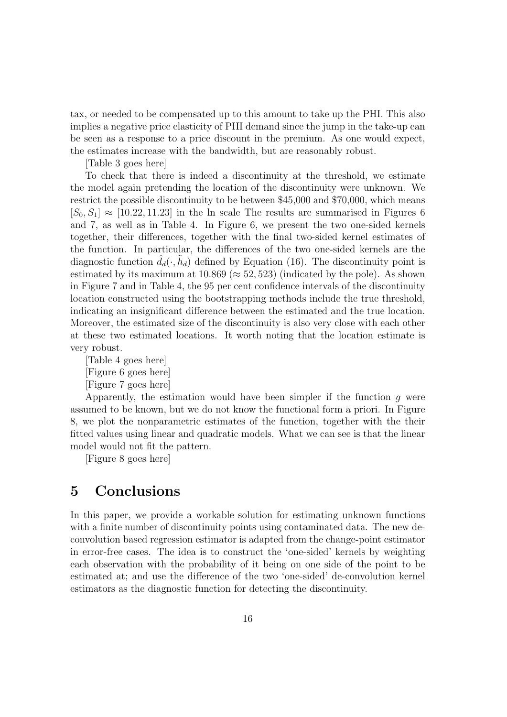tax, or needed to be compensated up to this amount to take up the PHI. This also implies a negative price elasticity of PHI demand since the jump in the take-up can be seen as a response to a price discount in the premium. As one would expect, the estimates increase with the bandwidth, but are reasonably robust.

[Table 3 goes here]

To check that there is indeed a discontinuity at the threshold, we estimate the model again pretending the location of the discontinuity were unknown. We restrict the possible discontinuity to be between \$45,000 and \$70,000, which means  $[S_0, S_1] \approx [10.22, 11.23]$  in the ln scale The results are summarised in Figures 6 and 7, as well as in Table 4. In Figure 6, we present the two one-sided kernels together, their differences, together with the final two-sided kernel estimates of the function. In particular, the differences of the two one-sided kernels are the diagnostic function  $\hat{d}_d(\cdot, \tilde{h}_d)$  defined by Equation (16). The discontinuity point is estimated by its maximum at  $10.869 \approx 52,523$  (indicated by the pole). As shown in Figure 7 and in Table 4, the 95 per cent confidence intervals of the discontinuity location constructed using the bootstrapping methods include the true threshold, indicating an insignificant difference between the estimated and the true location. Moreover, the estimated size of the discontinuity is also very close with each other at these two estimated locations. It worth noting that the location estimate is very robust.

[Table 4 goes here] [Figure 6 goes here]

[Figure 7 goes here]

Apparently, the estimation would have been simpler if the function *g* were assumed to be known, but we do not know the functional form a priori. In Figure 8, we plot the nonparametric estimates of the function, together with the their fitted values using linear and quadratic models. What we can see is that the linear model would not fit the pattern.

[Figure 8 goes here]

### **5 Conclusions**

In this paper, we provide a workable solution for estimating unknown functions with a finite number of discontinuity points using contaminated data. The new deconvolution based regression estimator is adapted from the change-point estimator in error-free cases. The idea is to construct the 'one-sided' kernels by weighting each observation with the probability of it being on one side of the point to be estimated at; and use the difference of the two 'one-sided' de-convolution kernel estimators as the diagnostic function for detecting the discontinuity.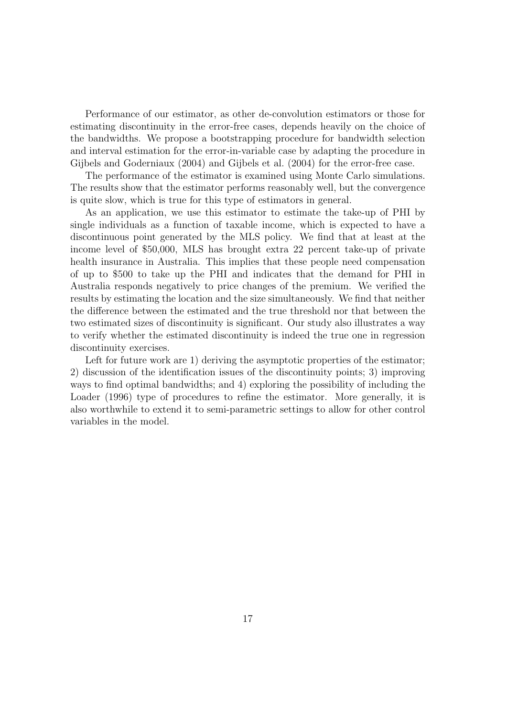Performance of our estimator, as other de-convolution estimators or those for estimating discontinuity in the error-free cases, depends heavily on the choice of the bandwidths. We propose a bootstrapping procedure for bandwidth selection and interval estimation for the error-in-variable case by adapting the procedure in Gijbels and Goderniaux (2004) and Gijbels et al. (2004) for the error-free case.

The performance of the estimator is examined using Monte Carlo simulations. The results show that the estimator performs reasonably well, but the convergence is quite slow, which is true for this type of estimators in general.

As an application, we use this estimator to estimate the take-up of PHI by single individuals as a function of taxable income, which is expected to have a discontinuous point generated by the MLS policy. We find that at least at the income level of \$50,000, MLS has brought extra 22 percent take-up of private health insurance in Australia. This implies that these people need compensation of up to \$500 to take up the PHI and indicates that the demand for PHI in Australia responds negatively to price changes of the premium. We verified the results by estimating the location and the size simultaneously. We find that neither the difference between the estimated and the true threshold nor that between the two estimated sizes of discontinuity is significant. Our study also illustrates a way to verify whether the estimated discontinuity is indeed the true one in regression discontinuity exercises.

Left for future work are 1) deriving the asymptotic properties of the estimator; 2) discussion of the identification issues of the discontinuity points; 3) improving ways to find optimal bandwidths; and 4) exploring the possibility of including the Loader (1996) type of procedures to refine the estimator. More generally, it is also worthwhile to extend it to semi-parametric settings to allow for other control variables in the model.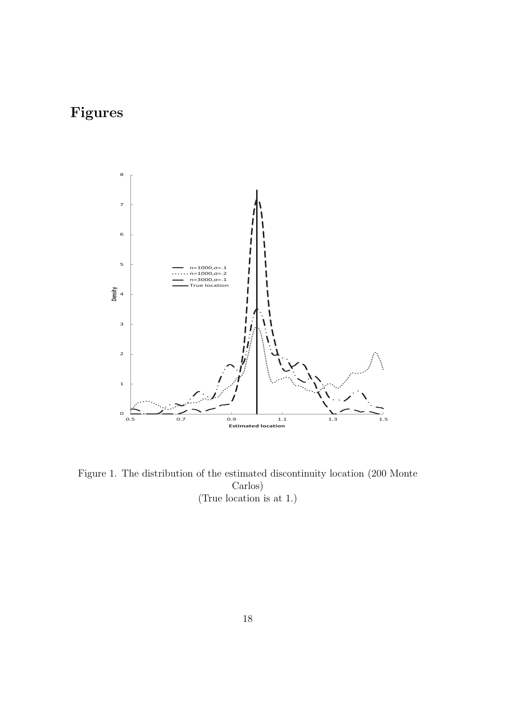# **Figures**



Figure 1. The distribution of the estimated discontinuity location (200 Monte Carlos) (True location is at 1.)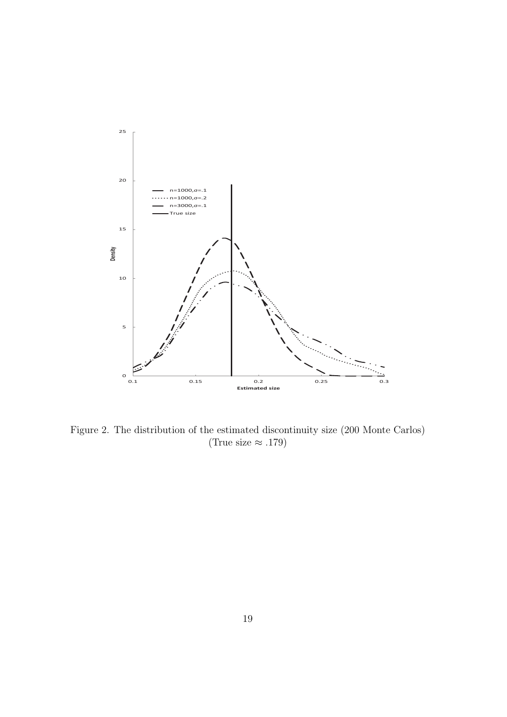

Figure 2. The distribution of the estimated discontinuity size (200 Monte Carlos) (True size *≈ .*179)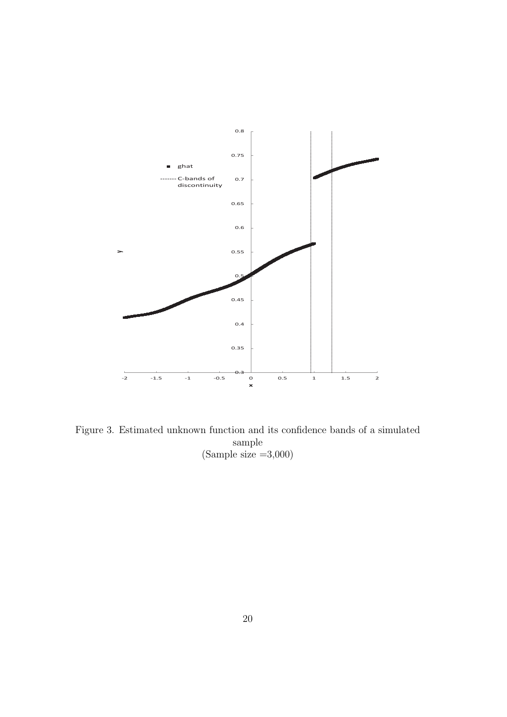

Figure 3. Estimated unknown function and its confidence bands of a simulated sample (Sample size  $=3,000$ )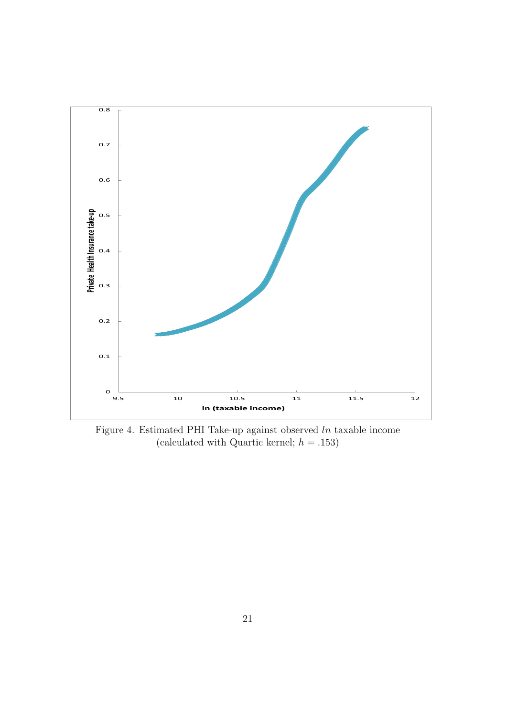

Figure 4. Estimated PHI Take-up against observed *ln* taxable income (calculated with Quartic kernel;  $h = .153$ )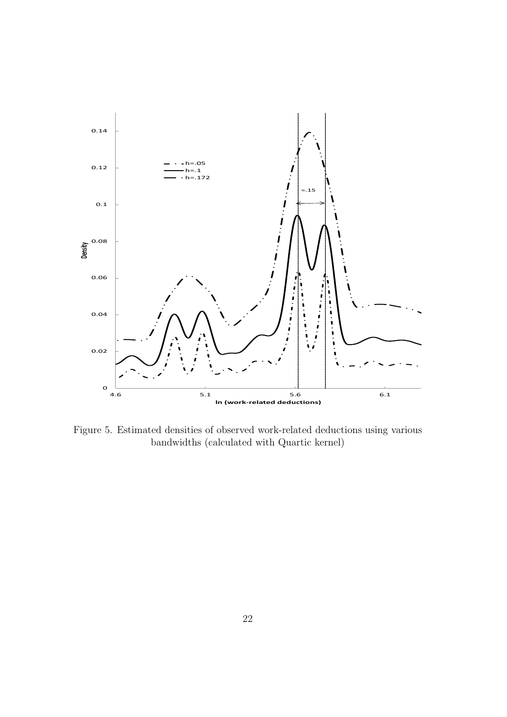

Figure 5. Estimated densities of observed work-related deductions using various bandwidths (calculated with Quartic kernel)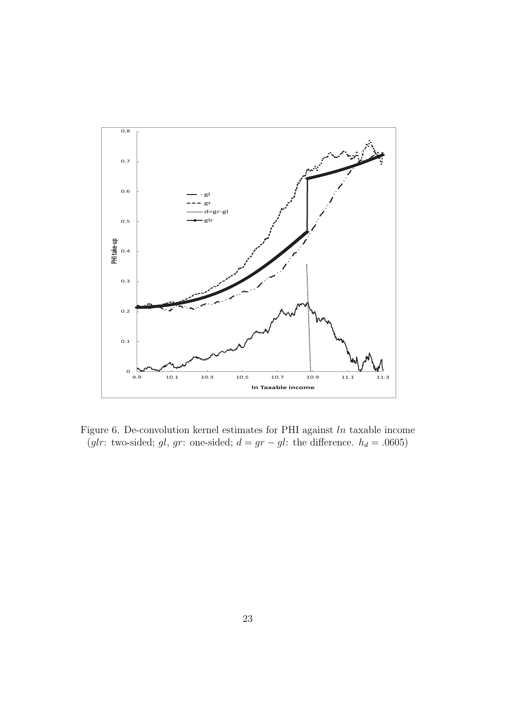

Figure 6. De-convolution kernel estimates for PHI against *ln* taxable income (*glr*: two-sided; *gl*, *gr*: one-sided;  $d = gr - gl$ : the difference.  $h_d = .0605$ )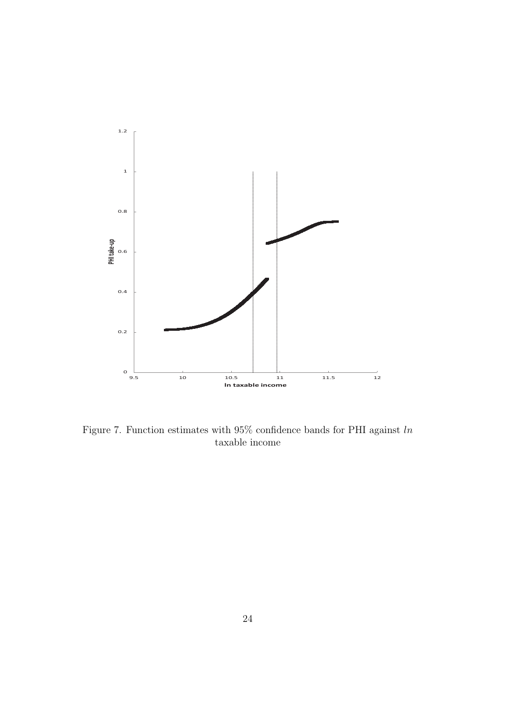

Figure 7. Function estimates with 95% confidence bands for PHI against *ln* taxable income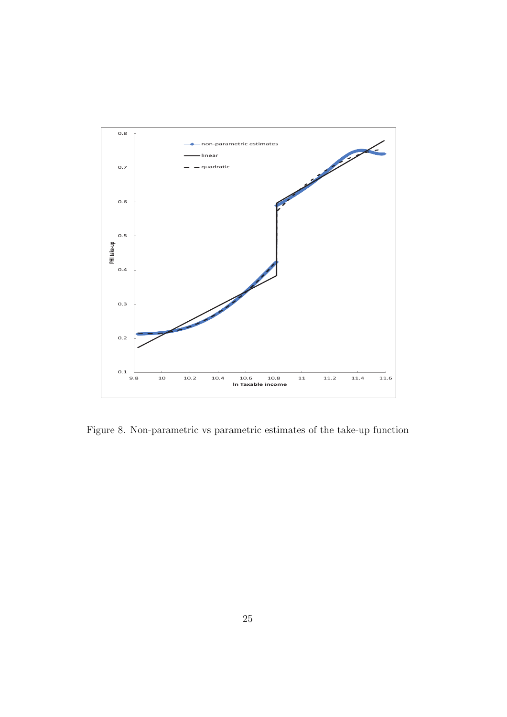

Figure 8. Non-parametric vs parametric estimates of the take-up function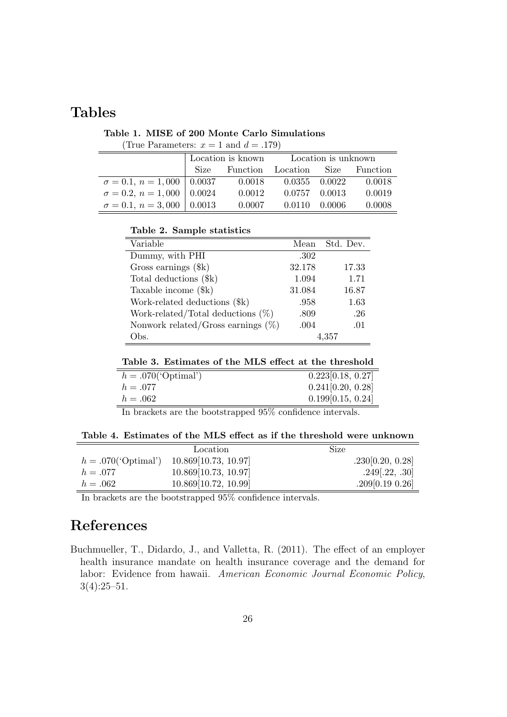## **Tables**

#### **Table 1. MISE of 200 Monte Carlo Simulations**

|  | (True Parameters: $x = 1$ and $d = .179$ ) |  |  |  |  |
|--|--------------------------------------------|--|--|--|--|
|--|--------------------------------------------|--|--|--|--|

|                                       | Location is known |          | Location is unknown    |          |        |
|---------------------------------------|-------------------|----------|------------------------|----------|--------|
|                                       | Size              | Function | Location Size Function |          |        |
| $\sigma = 0.1, n = 1,000 \mid 0.0037$ |                   | 0.0018   | 0.0355 0.0022          |          | 0.0018 |
| $\sigma = 0.2, n = 1,000 \mid 0.0024$ |                   | 0.0012   | 0.0757 0.0013          |          | 0.0019 |
| $\sigma = 0.1, n = 3,000 \mid 0.0013$ |                   | 0.0007   | 0.0110                 | - 0.0006 | 0.0008 |

#### **Table 2. Sample statistics**

| Variable                              | Mean   | Std. Dev. |
|---------------------------------------|--------|-----------|
| Dummy, with PHI                       | .302   |           |
| Gross earnings $(\$k)$                | 32.178 | 17.33     |
| Total deductions (\$k)                | 1.094  | 1.71      |
| Taxable income $(\&k)$                | 31.084 | 16.87     |
| Work-related deductions (\$k)         | .958   | 1.63      |
| Work-related/Total deductions $(\%)$  | .809   | .26       |
| Nonwork related/Gross earnings $(\%)$ | .004   | .01       |
| Obs.                                  |        | 4,357     |

#### **Table 3. Estimates of the MLS effect at the threshold**

| $h = .070$ ('Optimal') | 0.223[0.18, 0.27] |
|------------------------|-------------------|
| $h = .077$             | 0.241[0.20, 0.28] |
| $h = .062$             | 0.199[0.15, 0.24] |

In brackets are the bootstrapped 95% confidence intervals.

**Table 4. Estimates of the MLS effect as if the threshold were unknown**

|                        | Location             | Size               |
|------------------------|----------------------|--------------------|
| $h = .070$ ('Optimal') | 10.869[10.73, 10.97] | .230[0.20, 0.28]   |
| $h = .077$             | 10.869[10.73, 10.97] | .249[.22, .30]     |
| $h = .062$             | 10.869[10.72, 10.99] | $.209[0.19\;0.26]$ |

In brackets are the bootstrapped 95% confidence intervals.

## **References**

Buchmueller, T., Didardo, J., and Valletta, R. (2011). The effect of an employer health insurance mandate on health insurance coverage and the demand for labor: Evidence from hawaii. *American Economic Journal Economic Policy*, 3(4):25–51.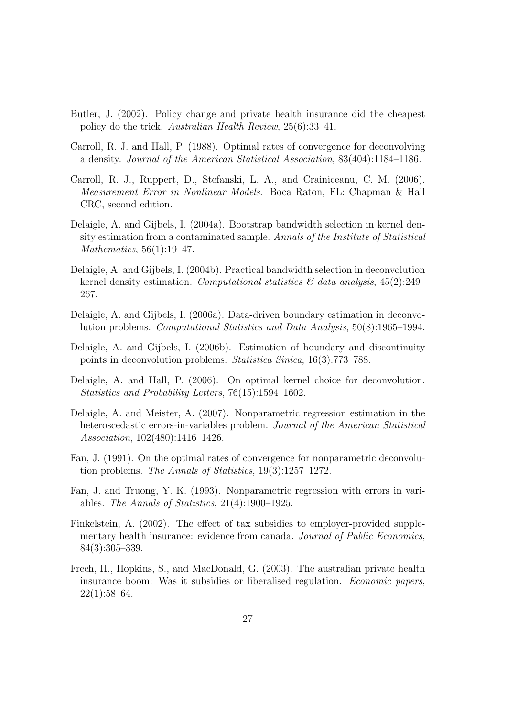- Butler, J. (2002). Policy change and private health insurance did the cheapest policy do the trick. *Australian Health Review*, 25(6):33–41.
- Carroll, R. J. and Hall, P. (1988). Optimal rates of convergence for deconvolving a density. *Journal of the American Statistical Association*, 83(404):1184–1186.
- Carroll, R. J., Ruppert, D., Stefanski, L. A., and Crainiceanu, C. M. (2006). *Measurement Error in Nonlinear Models*. Boca Raton, FL: Chapman & Hall CRC, second edition.
- Delaigle, A. and Gijbels, I. (2004a). Bootstrap bandwidth selection in kernel density estimation from a contaminated sample. *Annals of the Institute of Statistical Mathematics*, 56(1):19–47.
- Delaigle, A. and Gijbels, I. (2004b). Practical bandwidth selection in deconvolution kernel density estimation. *Computational statistics & data analysis*, 45(2):249– 267.
- Delaigle, A. and Gijbels, I. (2006a). Data-driven boundary estimation in deconvolution problems. *Computational Statistics and Data Analysis*, 50(8):1965–1994.
- Delaigle, A. and Gijbels, I. (2006b). Estimation of boundary and discontinuity points in deconvolution problems. *Statistica Sinica*, 16(3):773–788.
- Delaigle, A. and Hall, P. (2006). On optimal kernel choice for deconvolution. *Statistics and Probability Letters*, 76(15):1594–1602.
- Delaigle, A. and Meister, A. (2007). Nonparametric regression estimation in the heteroscedastic errors-in-variables problem. *Journal of the American Statistical Association*, 102(480):1416–1426.
- Fan, J. (1991). On the optimal rates of convergence for nonparametric deconvolution problems. *The Annals of Statistics*, 19(3):1257–1272.
- Fan, J. and Truong, Y. K. (1993). Nonparametric regression with errors in variables. *The Annals of Statistics*, 21(4):1900–1925.
- Finkelstein, A. (2002). The effect of tax subsidies to employer-provided supplementary health insurance: evidence from canada. *Journal of Public Economics*, 84(3):305–339.
- Frech, H., Hopkins, S., and MacDonald, G. (2003). The australian private health insurance boom: Was it subsidies or liberalised regulation. *Economic papers*,  $22(1):58-64.$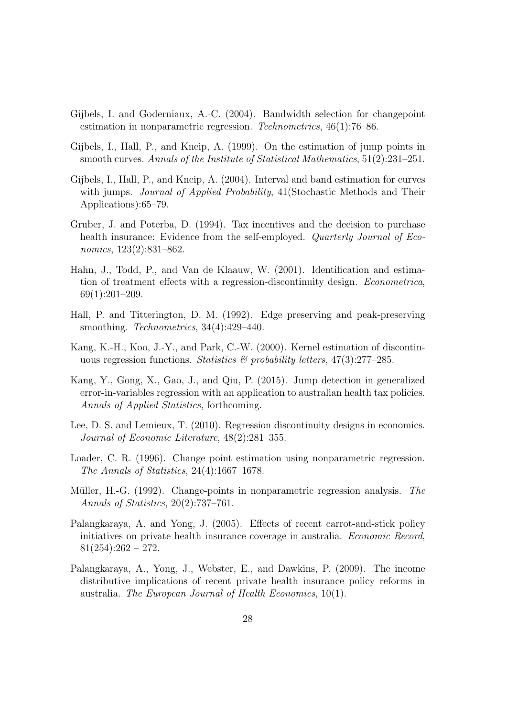- Gijbels, I. and Goderniaux, A.-C. (2004). Bandwidth selection for changepoint estimation in nonparametric regression. *Technometrics*, 46(1):76–86.
- Gijbels, I., Hall, P., and Kneip, A. (1999). On the estimation of jump points in smooth curves. *Annals of the Institute of Statistical Mathematics*, 51(2):231–251.
- Gijbels, I., Hall, P., and Kneip, A. (2004). Interval and band estimation for curves with jumps. *Journal of Applied Probability*, 41(Stochastic Methods and Their Applications):65–79.
- Gruber, J. and Poterba, D. (1994). Tax incentives and the decision to purchase health insurance: Evidence from the self-employed. *Quarterly Journal of Economics*, 123(2):831–862.
- Hahn, J., Todd, P., and Van de Klaauw, W. (2001). Identification and estimation of treatment effects with a regression-discontinuity design. *Econometrica*, 69(1):201–209.
- Hall, P. and Titterington, D. M. (1992). Edge preserving and peak-preserving smoothing. *Technometrics*, 34(4):429–440.
- Kang, K.-H., Koo, J.-Y., and Park, C.-W. (2000). Kernel estimation of discontinuous regression functions. *Statistics & probability letters*, 47(3):277–285.
- Kang, Y., Gong, X., Gao, J., and Qiu, P. (2015). Jump detection in generalized error-in-variables regression with an application to australian health tax policies. *Annals of Applied Statistics*, forthcoming.
- Lee, D. S. and Lemieux, T. (2010). Regression discontinuity designs in economics. *Journal of Economic Literature*, 48(2):281–355.
- Loader, C. R. (1996). Change point estimation using nonparametric regression. *The Annals of Statistics*, 24(4):1667–1678.
- Müller, H.-G. (1992). Change-points in nonparametric regression analysis. The *Annals of Statistics*, 20(2):737–761.
- Palangkaraya, A. and Yong, J. (2005). Effects of recent carrot-and-stick policy initiatives on private health insurance coverage in australia. *Economic Record*,  $81(254):262 - 272.$
- Palangkaraya, A., Yong, J., Webster, E., and Dawkins, P. (2009). The income distributive implications of recent private health insurance policy reforms in australia. *The European Journal of Health Economics*, 10(1).